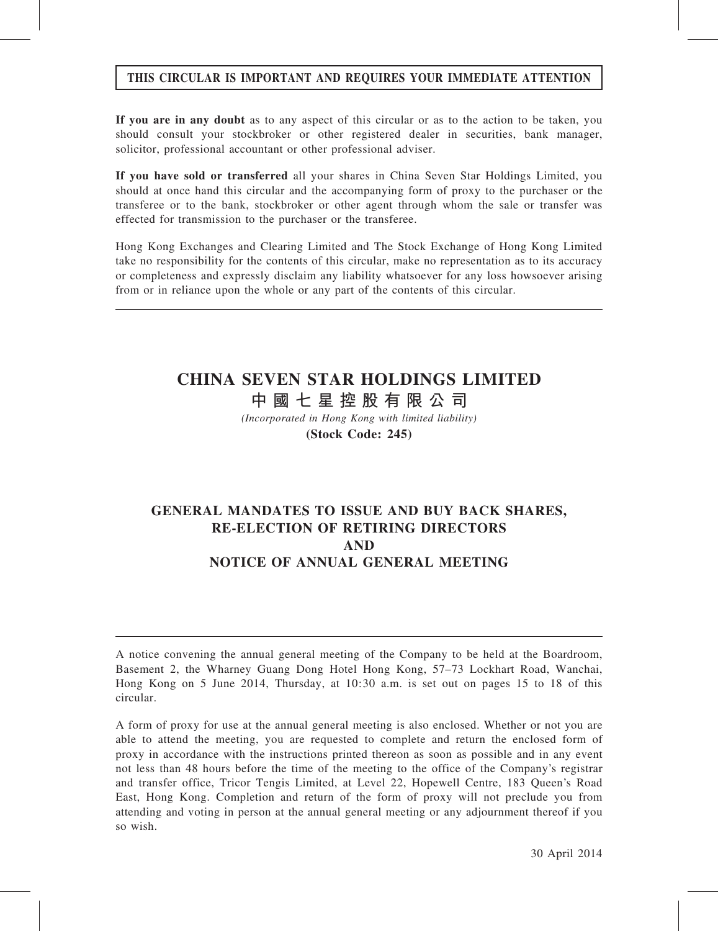# THIS CIRCULAR IS IMPORTANT AND REQUIRES YOUR IMMEDIATE ATTENTION

If you are in any doubt as to any aspect of this circular or as to the action to be taken, you should consult your stockbroker or other registered dealer in securities, bank manager, solicitor, professional accountant or other professional adviser.

If you have sold or transferred all your shares in China Seven Star Holdings Limited, you should at once hand this circular and the accompanying form of proxy to the purchaser or the transferee or to the bank, stockbroker or other agent through whom the sale or transfer was effected for transmission to the purchaser or the transferee.

Hong Kong Exchanges and Clearing Limited and The Stock Exchange of Hong Kong Limited take no responsibility for the contents of this circular, make no representation as to its accuracy or completeness and expressly disclaim any liability whatsoever for any loss howsoever arising from or in reliance upon the whole or any part of the contents of this circular.

# CHINA SEVEN STAR HOLDINGS LIMITED

中 國 七 星 控 股 有 限 公 司

(Incorporated in Hong Kong with limited liability) (Stock Code: 245)

# GENERAL MANDATES TO ISSUE AND BUY BACK SHARES, RE-ELECTION OF RETIRING DIRECTORS AND NOTICE OF ANNUAL GENERAL MEETING

A notice convening the annual general meeting of the Company to be held at the Boardroom, Basement 2, the Wharney Guang Dong Hotel Hong Kong, 57–73 Lockhart Road, Wanchai, Hong Kong on 5 June 2014, Thursday, at 10:30 a.m. is set out on pages 15 to 18 of this circular.

A form of proxy for use at the annual general meeting is also enclosed. Whether or not you are able to attend the meeting, you are requested to complete and return the enclosed form of proxy in accordance with the instructions printed thereon as soon as possible and in any event not less than 48 hours before the time of the meeting to the office of the Company's registrar and transfer office, Tricor Tengis Limited, at Level 22, Hopewell Centre, 183 Queen's Road East, Hong Kong. Completion and return of the form of proxy will not preclude you from attending and voting in person at the annual general meeting or any adjournment thereof if you so wish.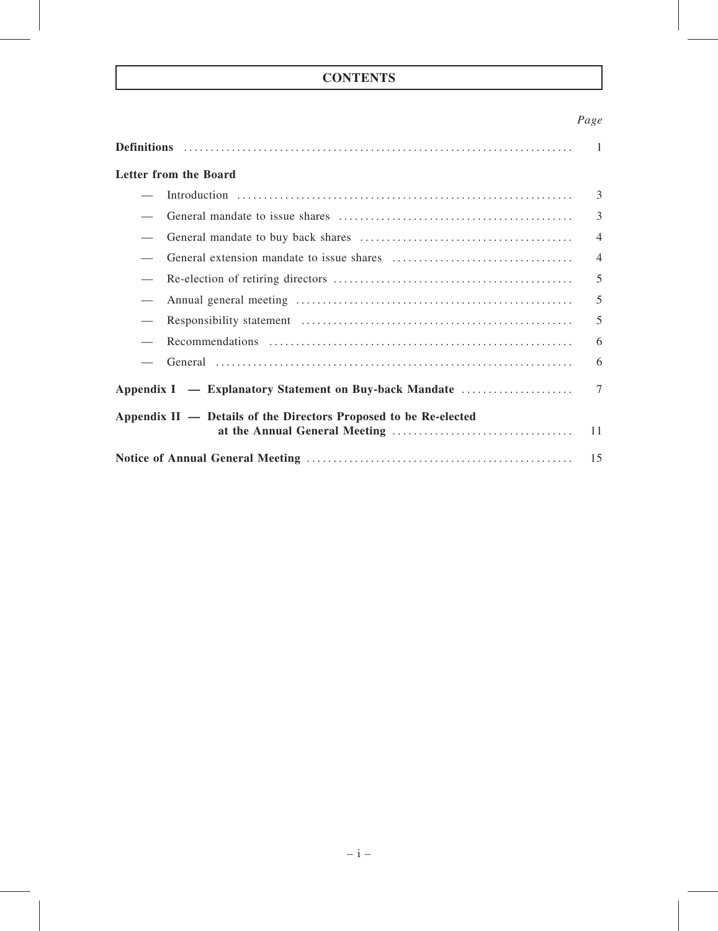# **CONTENTS**

# Page

|                                                                  | $\overline{1}$ |
|------------------------------------------------------------------|----------------|
| Letter from the Board                                            |                |
|                                                                  | 3              |
|                                                                  | $\overline{3}$ |
|                                                                  | $\overline{4}$ |
|                                                                  | $\overline{4}$ |
|                                                                  | 5              |
|                                                                  | 5              |
|                                                                  | 5              |
|                                                                  | 6              |
|                                                                  | 6              |
| Appendix I — Explanatory Statement on Buy-back Mandate           | $\tau$         |
| Appendix II — Details of the Directors Proposed to be Re-elected | 11             |
|                                                                  | 15             |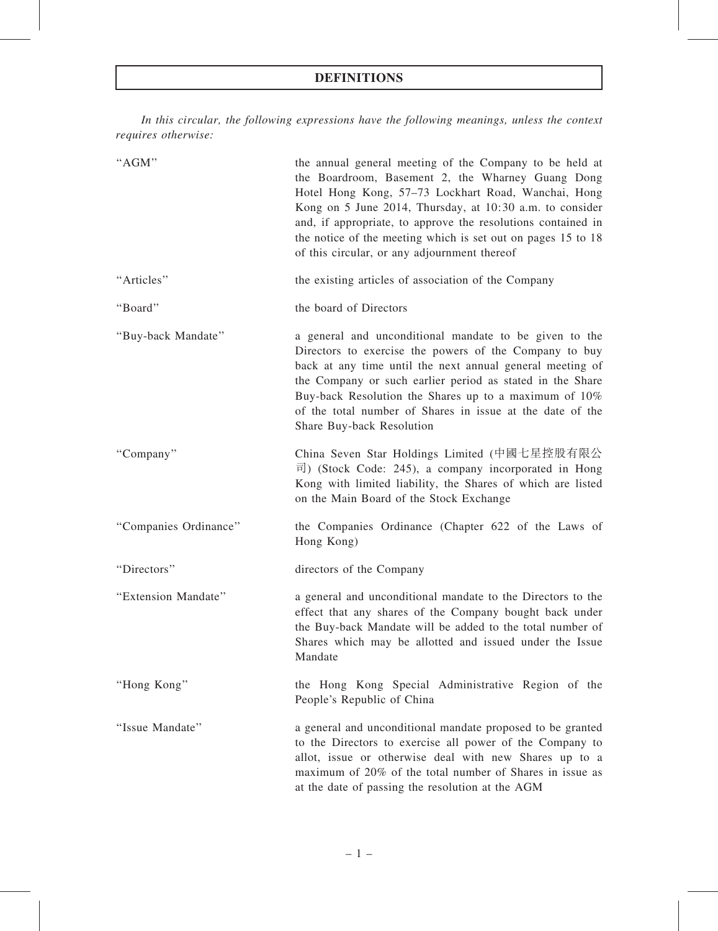# DEFINITIONS

In this circular, the following expressions have the following meanings, unless the context requires otherwise:

| "AGM"                 | the annual general meeting of the Company to be held at<br>the Boardroom, Basement 2, the Wharney Guang Dong<br>Hotel Hong Kong, 57-73 Lockhart Road, Wanchai, Hong<br>Kong on 5 June 2014, Thursday, at 10:30 a.m. to consider<br>and, if appropriate, to approve the resolutions contained in<br>the notice of the meeting which is set out on pages 15 to 18<br>of this circular, or any adjournment thereof |
|-----------------------|-----------------------------------------------------------------------------------------------------------------------------------------------------------------------------------------------------------------------------------------------------------------------------------------------------------------------------------------------------------------------------------------------------------------|
| "Articles"            | the existing articles of association of the Company                                                                                                                                                                                                                                                                                                                                                             |
| "Board"               | the board of Directors                                                                                                                                                                                                                                                                                                                                                                                          |
| "Buy-back Mandate"    | a general and unconditional mandate to be given to the<br>Directors to exercise the powers of the Company to buy<br>back at any time until the next annual general meeting of<br>the Company or such earlier period as stated in the Share<br>Buy-back Resolution the Shares up to a maximum of 10%<br>of the total number of Shares in issue at the date of the<br>Share Buy-back Resolution                   |
| "Company"             | China Seven Star Holdings Limited (中國七星控股有限公<br>$\overline{\mathbb{E}}$ ) (Stock Code: 245), a company incorporated in Hong<br>Kong with limited liability, the Shares of which are listed<br>on the Main Board of the Stock Exchange                                                                                                                                                                           |
| "Companies Ordinance" | the Companies Ordinance (Chapter 622 of the Laws of<br>Hong Kong)                                                                                                                                                                                                                                                                                                                                               |
| "Directors"           | directors of the Company                                                                                                                                                                                                                                                                                                                                                                                        |
| "Extension Mandate"   | a general and unconditional mandate to the Directors to the<br>effect that any shares of the Company bought back under<br>the Buy-back Mandate will be added to the total number of<br>Shares which may be allotted and issued under the Issue<br>Mandate                                                                                                                                                       |
| "Hong Kong"           | the Hong Kong Special Administrative Region of the<br>People's Republic of China                                                                                                                                                                                                                                                                                                                                |
| "Issue Mandate"       | a general and unconditional mandate proposed to be granted<br>to the Directors to exercise all power of the Company to<br>allot, issue or otherwise deal with new Shares up to a<br>maximum of 20% of the total number of Shares in issue as<br>at the date of passing the resolution at the AGM                                                                                                                |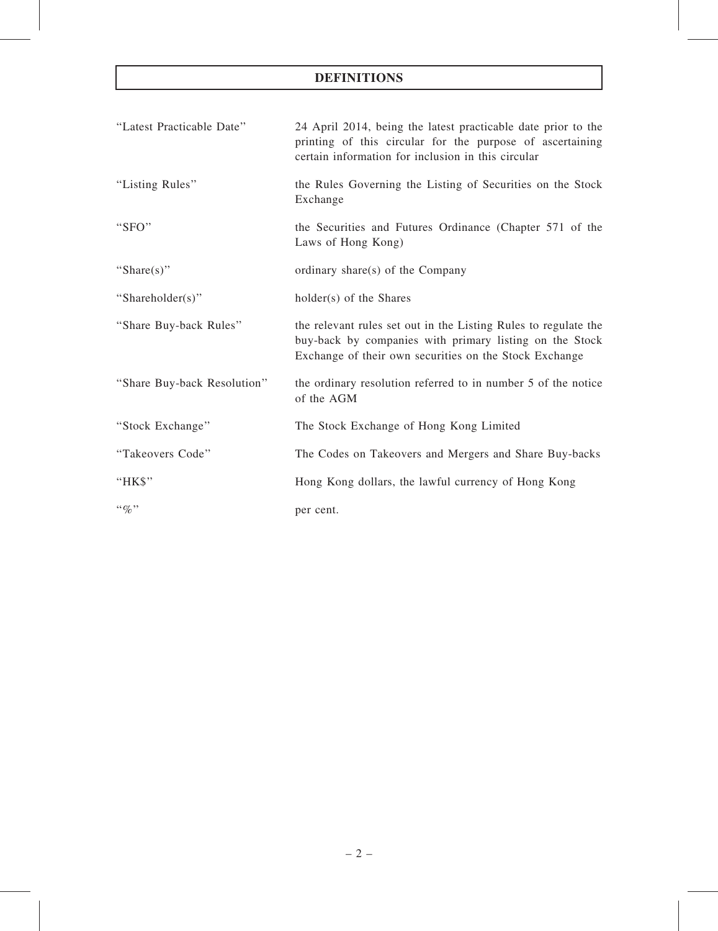# DEFINITIONS

| "Latest Practicable Date"   | 24 April 2014, being the latest practicable date prior to the<br>printing of this circular for the purpose of ascertaining<br>certain information for inclusion in this circular     |
|-----------------------------|--------------------------------------------------------------------------------------------------------------------------------------------------------------------------------------|
| "Listing Rules"             | the Rules Governing the Listing of Securities on the Stock<br>Exchange                                                                                                               |
| "SFO"                       | the Securities and Futures Ordinance (Chapter 571 of the<br>Laws of Hong Kong)                                                                                                       |
| "Share $(s)$ "              | ordinary share(s) of the Company                                                                                                                                                     |
| "Shareholder(s)"            | holder(s) of the Shares                                                                                                                                                              |
| "Share Buy-back Rules"      | the relevant rules set out in the Listing Rules to regulate the<br>buy-back by companies with primary listing on the Stock<br>Exchange of their own securities on the Stock Exchange |
| "Share Buy-back Resolution" | the ordinary resolution referred to in number 5 of the notice<br>of the AGM                                                                                                          |
| "Stock Exchange"            | The Stock Exchange of Hong Kong Limited                                                                                                                                              |
| "Takeovers Code"            | The Codes on Takeovers and Mergers and Share Buy-backs                                                                                                                               |
| "HK\$"                      | Hong Kong dollars, the lawful currency of Hong Kong                                                                                                                                  |
| $``\%"$                     | per cent.                                                                                                                                                                            |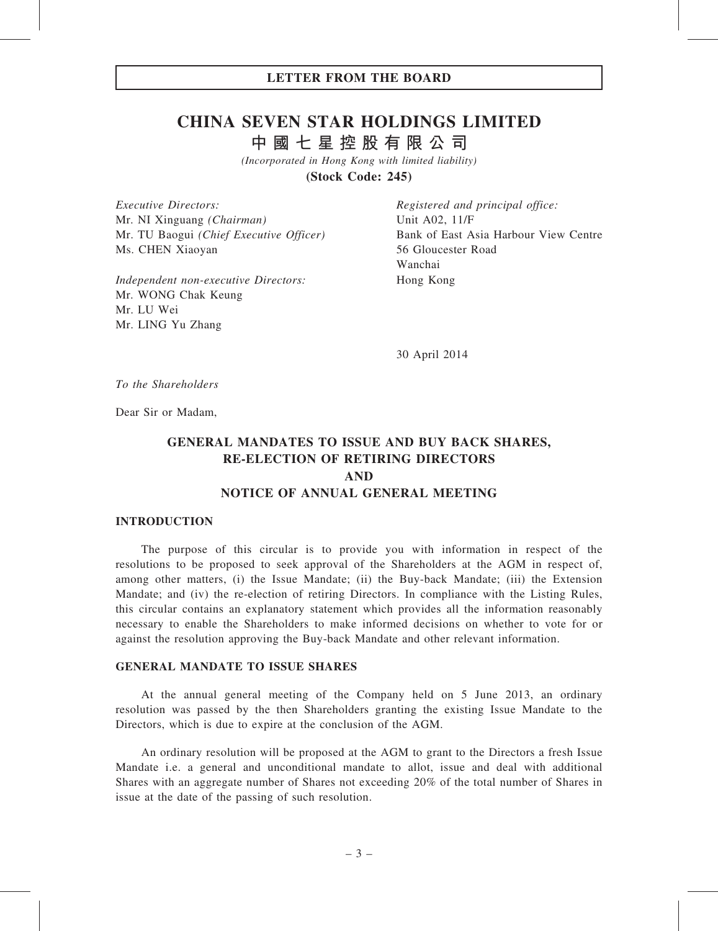# CHINA SEVEN STAR HOLDINGS LIMITED

中 國 七 星 控 股 有 限 公 司

(Incorporated in Hong Kong with limited liability)

(Stock Code: 245)

Executive Directors: Mr. NI Xinguang (Chairman) Mr. TU Baogui (Chief Executive Officer) Ms. CHEN Xiaoyan

Independent non-executive Directors: Mr. WONG Chak Keung Mr. LU Wei Mr. LING Yu Zhang

Registered and principal office: Unit A02, 11/F Bank of East Asia Harbour View Centre 56 Gloucester Road Wanchai Hong Kong

30 April 2014

To the Shareholders

Dear Sir or Madam,

# GENERAL MANDATES TO ISSUE AND BUY BACK SHARES, RE-ELECTION OF RETIRING DIRECTORS AND NOTICE OF ANNUAL GENERAL MEETING

#### INTRODUCTION

The purpose of this circular is to provide you with information in respect of the resolutions to be proposed to seek approval of the Shareholders at the AGM in respect of, among other matters, (i) the Issue Mandate; (ii) the Buy-back Mandate; (iii) the Extension Mandate; and (iv) the re-election of retiring Directors. In compliance with the Listing Rules, this circular contains an explanatory statement which provides all the information reasonably necessary to enable the Shareholders to make informed decisions on whether to vote for or against the resolution approving the Buy-back Mandate and other relevant information.

#### GENERAL MANDATE TO ISSUE SHARES

At the annual general meeting of the Company held on 5 June 2013, an ordinary resolution was passed by the then Shareholders granting the existing Issue Mandate to the Directors, which is due to expire at the conclusion of the AGM.

An ordinary resolution will be proposed at the AGM to grant to the Directors a fresh Issue Mandate i.e. a general and unconditional mandate to allot, issue and deal with additional Shares with an aggregate number of Shares not exceeding 20% of the total number of Shares in issue at the date of the passing of such resolution.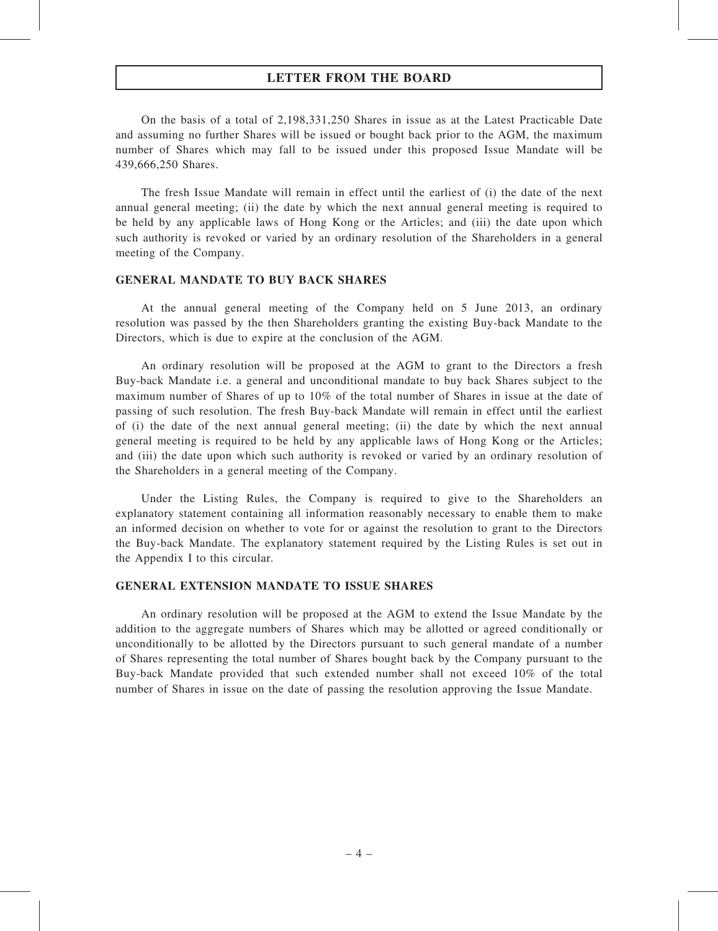## LETTER FROM THE BOARD

On the basis of a total of 2,198,331,250 Shares in issue as at the Latest Practicable Date and assuming no further Shares will be issued or bought back prior to the AGM, the maximum number of Shares which may fall to be issued under this proposed Issue Mandate will be 439,666,250 Shares.

The fresh Issue Mandate will remain in effect until the earliest of (i) the date of the next annual general meeting; (ii) the date by which the next annual general meeting is required to be held by any applicable laws of Hong Kong or the Articles; and (iii) the date upon which such authority is revoked or varied by an ordinary resolution of the Shareholders in a general meeting of the Company.

#### GENERAL MANDATE TO BUY BACK SHARES

At the annual general meeting of the Company held on 5 June 2013, an ordinary resolution was passed by the then Shareholders granting the existing Buy-back Mandate to the Directors, which is due to expire at the conclusion of the AGM.

An ordinary resolution will be proposed at the AGM to grant to the Directors a fresh Buy-back Mandate i.e. a general and unconditional mandate to buy back Shares subject to the maximum number of Shares of up to 10% of the total number of Shares in issue at the date of passing of such resolution. The fresh Buy-back Mandate will remain in effect until the earliest of (i) the date of the next annual general meeting; (ii) the date by which the next annual general meeting is required to be held by any applicable laws of Hong Kong or the Articles; and (iii) the date upon which such authority is revoked or varied by an ordinary resolution of the Shareholders in a general meeting of the Company.

Under the Listing Rules, the Company is required to give to the Shareholders an explanatory statement containing all information reasonably necessary to enable them to make an informed decision on whether to vote for or against the resolution to grant to the Directors the Buy-back Mandate. The explanatory statement required by the Listing Rules is set out in the Appendix I to this circular.

#### GENERAL EXTENSION MANDATE TO ISSUE SHARES

An ordinary resolution will be proposed at the AGM to extend the Issue Mandate by the addition to the aggregate numbers of Shares which may be allotted or agreed conditionally or unconditionally to be allotted by the Directors pursuant to such general mandate of a number of Shares representing the total number of Shares bought back by the Company pursuant to the Buy-back Mandate provided that such extended number shall not exceed 10% of the total number of Shares in issue on the date of passing the resolution approving the Issue Mandate.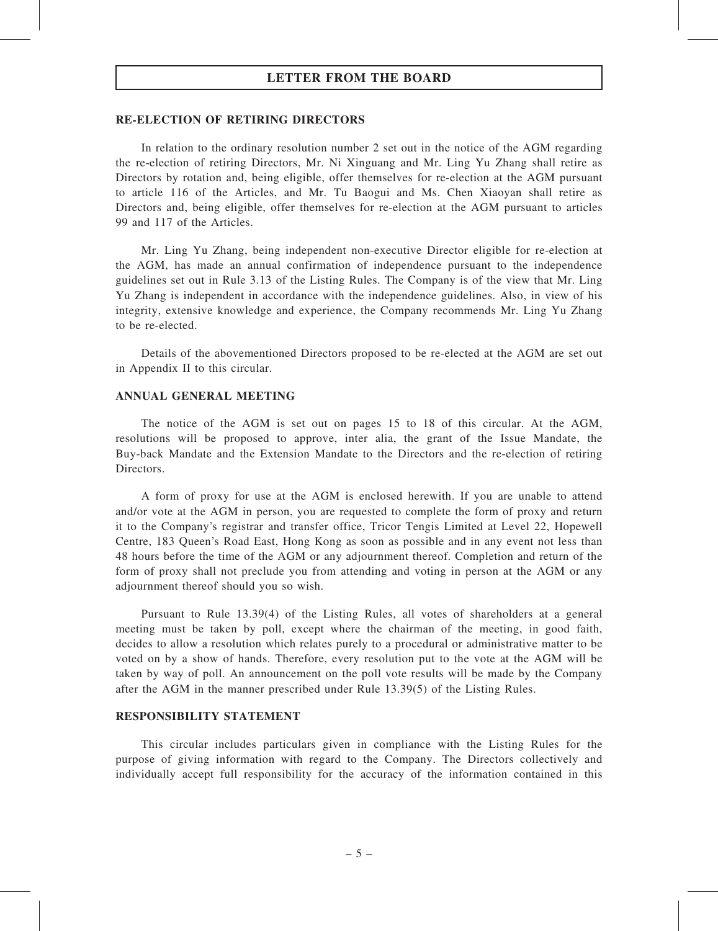## LETTER FROM THE BOARD

#### RE-ELECTION OF RETIRING DIRECTORS

In relation to the ordinary resolution number 2 set out in the notice of the AGM regarding the re-election of retiring Directors, Mr. Ni Xinguang and Mr. Ling Yu Zhang shall retire as Directors by rotation and, being eligible, offer themselves for re-election at the AGM pursuant to article 116 of the Articles, and Mr. Tu Baogui and Ms. Chen Xiaoyan shall retire as Directors and, being eligible, offer themselves for re-election at the AGM pursuant to articles 99 and 117 of the Articles.

Mr. Ling Yu Zhang, being independent non-executive Director eligible for re-election at the AGM, has made an annual confirmation of independence pursuant to the independence guidelines set out in Rule 3.13 of the Listing Rules. The Company is of the view that Mr. Ling Yu Zhang is independent in accordance with the independence guidelines. Also, in view of his integrity, extensive knowledge and experience, the Company recommends Mr. Ling Yu Zhang to be re-elected.

Details of the abovementioned Directors proposed to be re-elected at the AGM are set out in Appendix II to this circular.

#### ANNUAL GENERAL MEETING

The notice of the AGM is set out on pages 15 to 18 of this circular. At the AGM, resolutions will be proposed to approve, inter alia, the grant of the Issue Mandate, the Buy-back Mandate and the Extension Mandate to the Directors and the re-election of retiring Directors.

A form of proxy for use at the AGM is enclosed herewith. If you are unable to attend and/or vote at the AGM in person, you are requested to complete the form of proxy and return it to the Company's registrar and transfer office, Tricor Tengis Limited at Level 22, Hopewell Centre, 183 Queen's Road East, Hong Kong as soon as possible and in any event not less than 48 hours before the time of the AGM or any adjournment thereof. Completion and return of the form of proxy shall not preclude you from attending and voting in person at the AGM or any adjournment thereof should you so wish.

Pursuant to Rule 13.39(4) of the Listing Rules, all votes of shareholders at a general meeting must be taken by poll, except where the chairman of the meeting, in good faith, decides to allow a resolution which relates purely to a procedural or administrative matter to be voted on by a show of hands. Therefore, every resolution put to the vote at the AGM will be taken by way of poll. An announcement on the poll vote results will be made by the Company after the AGM in the manner prescribed under Rule 13.39(5) of the Listing Rules.

#### RESPONSIBILITY STATEMENT

This circular includes particulars given in compliance with the Listing Rules for the purpose of giving information with regard to the Company. The Directors collectively and individually accept full responsibility for the accuracy of the information contained in this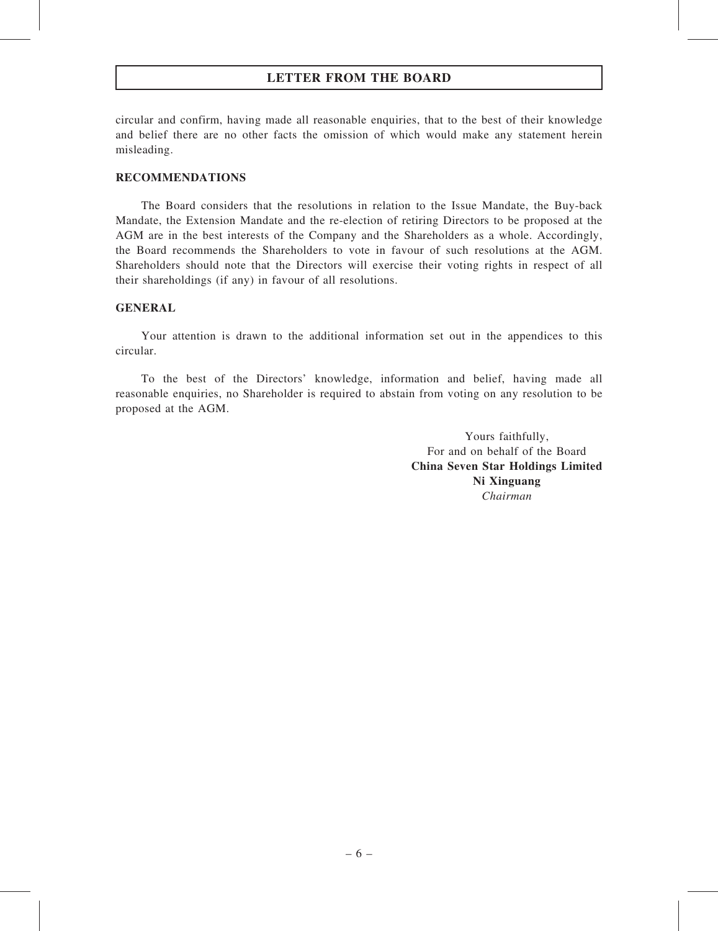# LETTER FROM THE BOARD

circular and confirm, having made all reasonable enquiries, that to the best of their knowledge and belief there are no other facts the omission of which would make any statement herein misleading.

#### RECOMMENDATIONS

The Board considers that the resolutions in relation to the Issue Mandate, the Buy-back Mandate, the Extension Mandate and the re-election of retiring Directors to be proposed at the AGM are in the best interests of the Company and the Shareholders as a whole. Accordingly, the Board recommends the Shareholders to vote in favour of such resolutions at the AGM. Shareholders should note that the Directors will exercise their voting rights in respect of all their shareholdings (if any) in favour of all resolutions.

#### GENERAL

Your attention is drawn to the additional information set out in the appendices to this circular.

To the best of the Directors' knowledge, information and belief, having made all reasonable enquiries, no Shareholder is required to abstain from voting on any resolution to be proposed at the AGM.

> Yours faithfully, For and on behalf of the Board China Seven Star Holdings Limited Ni Xinguang Chairman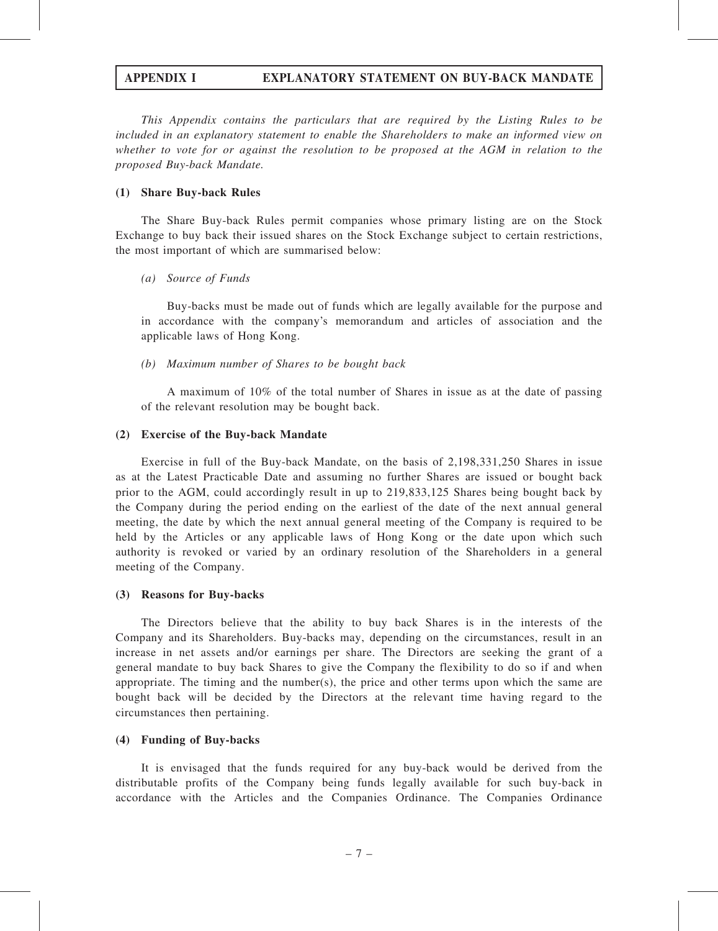This Appendix contains the particulars that are required by the Listing Rules to be included in an explanatory statement to enable the Shareholders to make an informed view on whether to vote for or against the resolution to be proposed at the AGM in relation to the proposed Buy-back Mandate.

#### (1) Share Buy-back Rules

The Share Buy-back Rules permit companies whose primary listing are on the Stock Exchange to buy back their issued shares on the Stock Exchange subject to certain restrictions, the most important of which are summarised below:

#### (a) Source of Funds

Buy-backs must be made out of funds which are legally available for the purpose and in accordance with the company's memorandum and articles of association and the applicable laws of Hong Kong.

#### (b) Maximum number of Shares to be bought back

A maximum of 10% of the total number of Shares in issue as at the date of passing of the relevant resolution may be bought back.

#### (2) Exercise of the Buy-back Mandate

Exercise in full of the Buy-back Mandate, on the basis of 2,198,331,250 Shares in issue as at the Latest Practicable Date and assuming no further Shares are issued or bought back prior to the AGM, could accordingly result in up to 219,833,125 Shares being bought back by the Company during the period ending on the earliest of the date of the next annual general meeting, the date by which the next annual general meeting of the Company is required to be held by the Articles or any applicable laws of Hong Kong or the date upon which such authority is revoked or varied by an ordinary resolution of the Shareholders in a general meeting of the Company.

#### (3) Reasons for Buy-backs

The Directors believe that the ability to buy back Shares is in the interests of the Company and its Shareholders. Buy-backs may, depending on the circumstances, result in an increase in net assets and/or earnings per share. The Directors are seeking the grant of a general mandate to buy back Shares to give the Company the flexibility to do so if and when appropriate. The timing and the number(s), the price and other terms upon which the same are bought back will be decided by the Directors at the relevant time having regard to the circumstances then pertaining.

#### (4) Funding of Buy-backs

It is envisaged that the funds required for any buy-back would be derived from the distributable profits of the Company being funds legally available for such buy-back in accordance with the Articles and the Companies Ordinance. The Companies Ordinance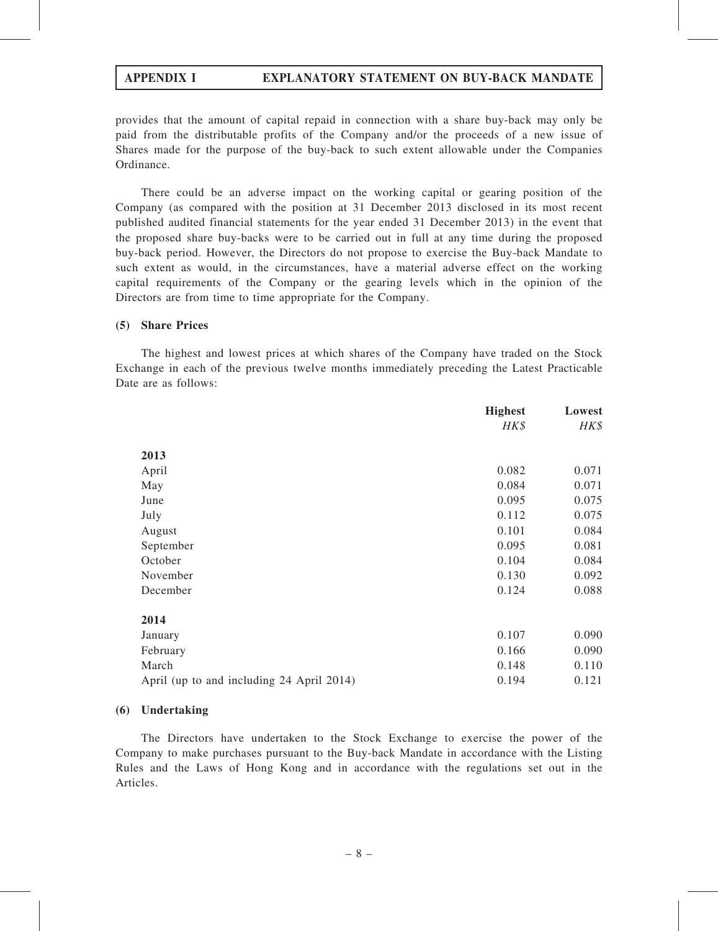provides that the amount of capital repaid in connection with a share buy-back may only be paid from the distributable profits of the Company and/or the proceeds of a new issue of Shares made for the purpose of the buy-back to such extent allowable under the Companies Ordinance.

There could be an adverse impact on the working capital or gearing position of the Company (as compared with the position at 31 December 2013 disclosed in its most recent published audited financial statements for the year ended 31 December 2013) in the event that the proposed share buy-backs were to be carried out in full at any time during the proposed buy-back period. However, the Directors do not propose to exercise the Buy-back Mandate to such extent as would, in the circumstances, have a material adverse effect on the working capital requirements of the Company or the gearing levels which in the opinion of the Directors are from time to time appropriate for the Company.

#### (5) Share Prices

The highest and lowest prices at which shares of the Company have traded on the Stock Exchange in each of the previous twelve months immediately preceding the Latest Practicable Date are as follows:

|                                           | <b>Highest</b> | Lowest |
|-------------------------------------------|----------------|--------|
|                                           | HK\$           | HK\$   |
| 2013                                      |                |        |
| April                                     | 0.082          | 0.071  |
| May                                       | 0.084          | 0.071  |
| June                                      | 0.095          | 0.075  |
| July                                      | 0.112          | 0.075  |
| August                                    | 0.101          | 0.084  |
| September                                 | 0.095          | 0.081  |
| October                                   | 0.104          | 0.084  |
| November                                  | 0.130          | 0.092  |
| December                                  | 0.124          | 0.088  |
| 2014                                      |                |        |
| January                                   | 0.107          | 0.090  |
| February                                  | 0.166          | 0.090  |
| March                                     | 0.148          | 0.110  |
| April (up to and including 24 April 2014) | 0.194          | 0.121  |

#### (6) Undertaking

The Directors have undertaken to the Stock Exchange to exercise the power of the Company to make purchases pursuant to the Buy-back Mandate in accordance with the Listing Rules and the Laws of Hong Kong and in accordance with the regulations set out in the Articles.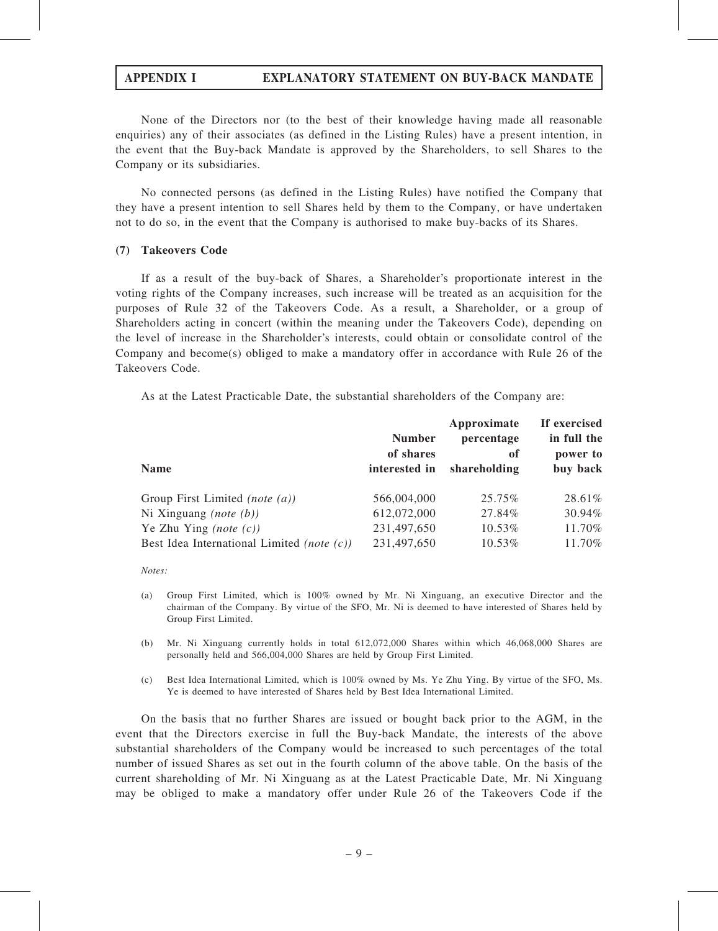None of the Directors nor (to the best of their knowledge having made all reasonable enquiries) any of their associates (as defined in the Listing Rules) have a present intention, in the event that the Buy-back Mandate is approved by the Shareholders, to sell Shares to the Company or its subsidiaries.

No connected persons (as defined in the Listing Rules) have notified the Company that they have a present intention to sell Shares held by them to the Company, or have undertaken not to do so, in the event that the Company is authorised to make buy-backs of its Shares.

#### (7) Takeovers Code

If as a result of the buy-back of Shares, a Shareholder's proportionate interest in the voting rights of the Company increases, such increase will be treated as an acquisition for the purposes of Rule 32 of the Takeovers Code. As a result, a Shareholder, or a group of Shareholders acting in concert (within the meaning under the Takeovers Code), depending on the level of increase in the Shareholder's interests, could obtain or consolidate control of the Company and become(s) obliged to make a mandatory offer in accordance with Rule 26 of the Takeovers Code.

As at the Latest Practicable Date, the substantial shareholders of the Company are:

| <b>Name</b>                                       | <b>Number</b><br>of shares<br>interested in | Approximate<br>percentage<br>0f<br>shareholding | If exercised<br>in full the<br>power to<br>buy back |
|---------------------------------------------------|---------------------------------------------|-------------------------------------------------|-----------------------------------------------------|
| Group First Limited (note $(a)$ )                 | 566,004,000                                 | 25.75%                                          | 28.61%                                              |
| Ni Xinguang ( <i>note</i> $(b)$ )                 | 612,072,000                                 | 27.84%                                          | 30.94%                                              |
| Ye Zhu Ying ( <i>note</i> $(c)$ )                 | 231,497,650                                 | 10.53%                                          | 11.70%                                              |
| Best Idea International Limited <i>(note (c))</i> | 231,497,650                                 | 10.53%                                          | 11.70%                                              |

Notes:

- (a) Group First Limited, which is 100% owned by Mr. Ni Xinguang, an executive Director and the chairman of the Company. By virtue of the SFO, Mr. Ni is deemed to have interested of Shares held by Group First Limited.
- (b) Mr. Ni Xinguang currently holds in total 612,072,000 Shares within which 46,068,000 Shares are personally held and 566,004,000 Shares are held by Group First Limited.
- (c) Best Idea International Limited, which is 100% owned by Ms. Ye Zhu Ying. By virtue of the SFO, Ms. Ye is deemed to have interested of Shares held by Best Idea International Limited.

On the basis that no further Shares are issued or bought back prior to the AGM, in the event that the Directors exercise in full the Buy-back Mandate, the interests of the above substantial shareholders of the Company would be increased to such percentages of the total number of issued Shares as set out in the fourth column of the above table. On the basis of the current shareholding of Mr. Ni Xinguang as at the Latest Practicable Date, Mr. Ni Xinguang may be obliged to make a mandatory offer under Rule 26 of the Takeovers Code if the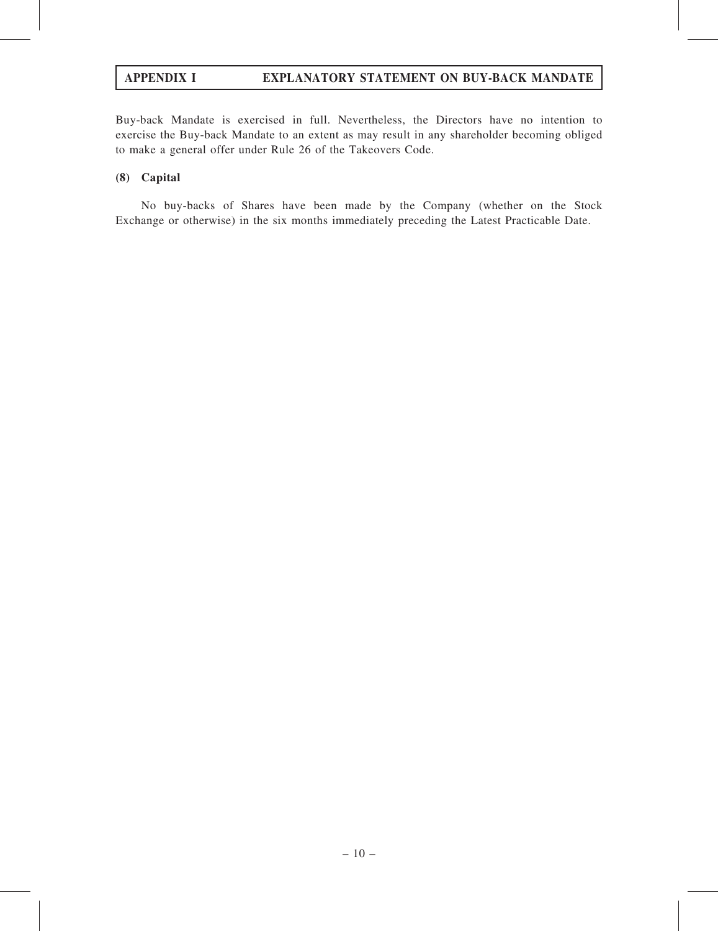Buy-back Mandate is exercised in full. Nevertheless, the Directors have no intention to exercise the Buy-back Mandate to an extent as may result in any shareholder becoming obliged to make a general offer under Rule 26 of the Takeovers Code.

#### (8) Capital

No buy-backs of Shares have been made by the Company (whether on the Stock Exchange or otherwise) in the six months immediately preceding the Latest Practicable Date.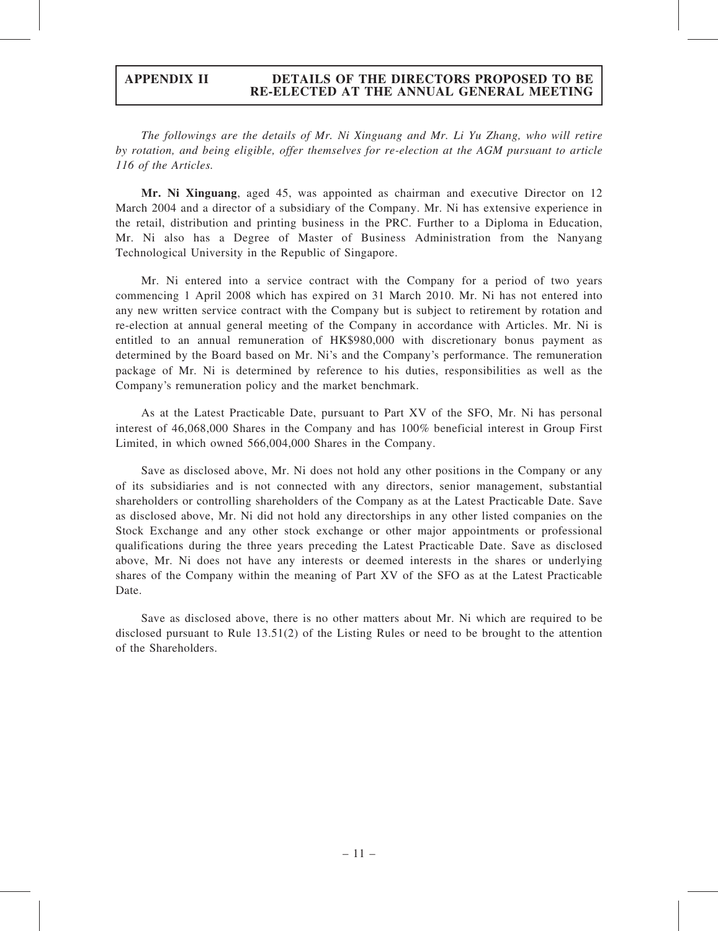The followings are the details of Mr. Ni Xinguang and Mr. Li Yu Zhang, who will retire by rotation, and being eligible, offer themselves for re-election at the AGM pursuant to article 116 of the Articles.

Mr. Ni Xinguang, aged 45, was appointed as chairman and executive Director on 12 March 2004 and a director of a subsidiary of the Company. Mr. Ni has extensive experience in the retail, distribution and printing business in the PRC. Further to a Diploma in Education, Mr. Ni also has a Degree of Master of Business Administration from the Nanyang Technological University in the Republic of Singapore.

Mr. Ni entered into a service contract with the Company for a period of two years commencing 1 April 2008 which has expired on 31 March 2010. Mr. Ni has not entered into any new written service contract with the Company but is subject to retirement by rotation and re-election at annual general meeting of the Company in accordance with Articles. Mr. Ni is entitled to an annual remuneration of HK\$980,000 with discretionary bonus payment as determined by the Board based on Mr. Ni's and the Company's performance. The remuneration package of Mr. Ni is determined by reference to his duties, responsibilities as well as the Company's remuneration policy and the market benchmark.

As at the Latest Practicable Date, pursuant to Part XV of the SFO, Mr. Ni has personal interest of 46,068,000 Shares in the Company and has 100% beneficial interest in Group First Limited, in which owned 566,004,000 Shares in the Company.

Save as disclosed above, Mr. Ni does not hold any other positions in the Company or any of its subsidiaries and is not connected with any directors, senior management, substantial shareholders or controlling shareholders of the Company as at the Latest Practicable Date. Save as disclosed above, Mr. Ni did not hold any directorships in any other listed companies on the Stock Exchange and any other stock exchange or other major appointments or professional qualifications during the three years preceding the Latest Practicable Date. Save as disclosed above, Mr. Ni does not have any interests or deemed interests in the shares or underlying shares of the Company within the meaning of Part XV of the SFO as at the Latest Practicable Date.

Save as disclosed above, there is no other matters about Mr. Ni which are required to be disclosed pursuant to Rule 13.51(2) of the Listing Rules or need to be brought to the attention of the Shareholders.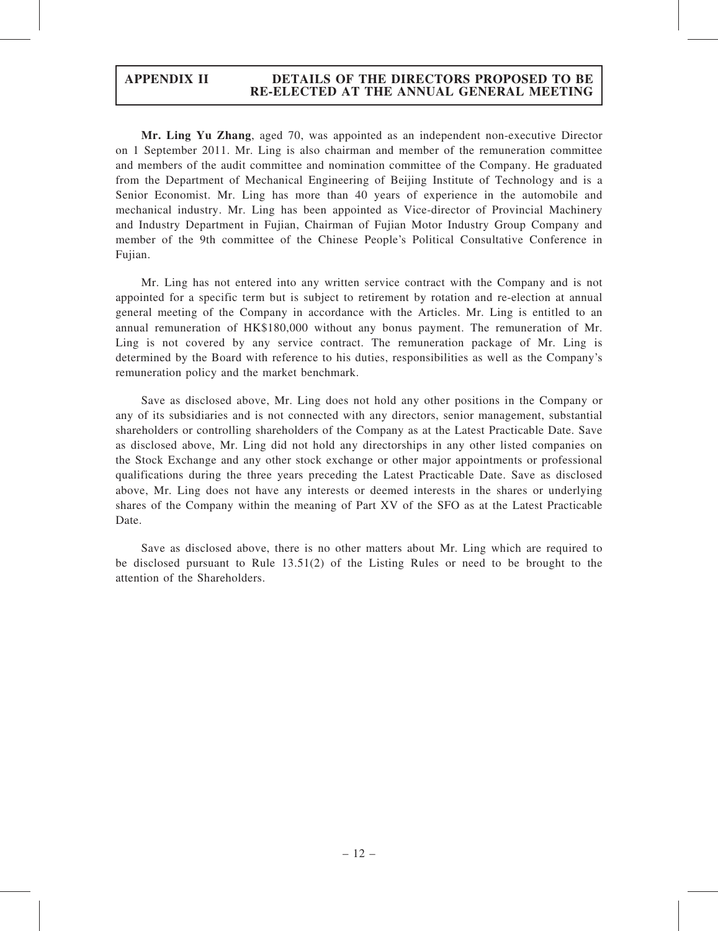Mr. Ling Yu Zhang, aged 70, was appointed as an independent non-executive Director on 1 September 2011. Mr. Ling is also chairman and member of the remuneration committee and members of the audit committee and nomination committee of the Company. He graduated from the Department of Mechanical Engineering of Beijing Institute of Technology and is a Senior Economist. Mr. Ling has more than 40 years of experience in the automobile and mechanical industry. Mr. Ling has been appointed as Vice-director of Provincial Machinery and Industry Department in Fujian, Chairman of Fujian Motor Industry Group Company and member of the 9th committee of the Chinese People's Political Consultative Conference in Fujian.

Mr. Ling has not entered into any written service contract with the Company and is not appointed for a specific term but is subject to retirement by rotation and re-election at annual general meeting of the Company in accordance with the Articles. Mr. Ling is entitled to an annual remuneration of HK\$180,000 without any bonus payment. The remuneration of Mr. Ling is not covered by any service contract. The remuneration package of Mr. Ling is determined by the Board with reference to his duties, responsibilities as well as the Company's remuneration policy and the market benchmark.

Save as disclosed above, Mr. Ling does not hold any other positions in the Company or any of its subsidiaries and is not connected with any directors, senior management, substantial shareholders or controlling shareholders of the Company as at the Latest Practicable Date. Save as disclosed above, Mr. Ling did not hold any directorships in any other listed companies on the Stock Exchange and any other stock exchange or other major appointments or professional qualifications during the three years preceding the Latest Practicable Date. Save as disclosed above, Mr. Ling does not have any interests or deemed interests in the shares or underlying shares of the Company within the meaning of Part XV of the SFO as at the Latest Practicable Date.

Save as disclosed above, there is no other matters about Mr. Ling which are required to be disclosed pursuant to Rule 13.51(2) of the Listing Rules or need to be brought to the attention of the Shareholders.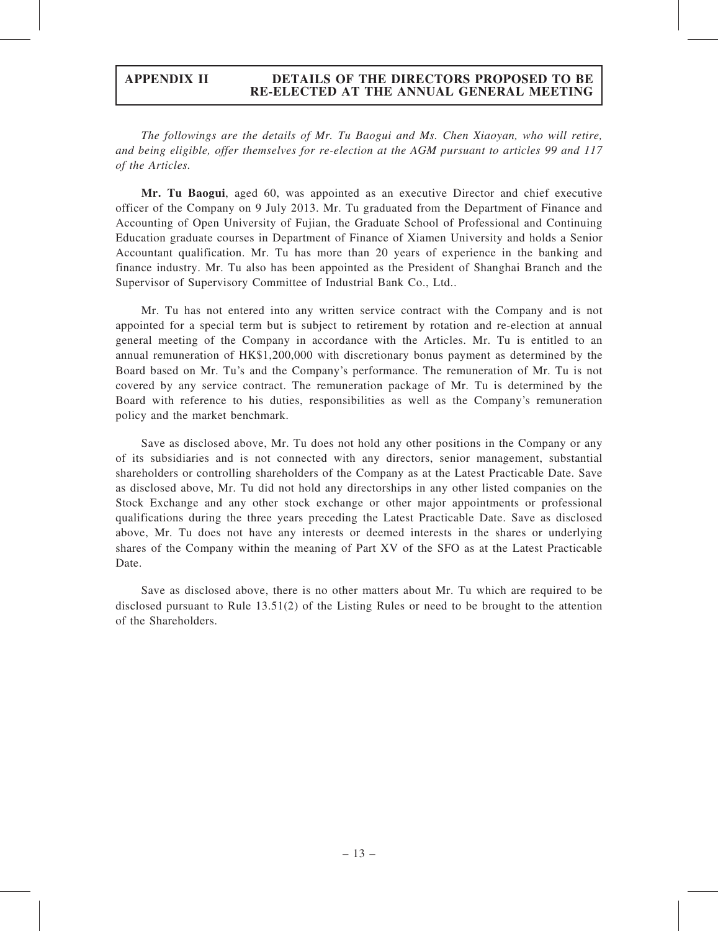The followings are the details of Mr. Tu Baogui and Ms. Chen Xiaoyan, who will retire, and being eligible, offer themselves for re-election at the AGM pursuant to articles 99 and 117 of the Articles.

Mr. Tu Baogui, aged 60, was appointed as an executive Director and chief executive officer of the Company on 9 July 2013. Mr. Tu graduated from the Department of Finance and Accounting of Open University of Fujian, the Graduate School of Professional and Continuing Education graduate courses in Department of Finance of Xiamen University and holds a Senior Accountant qualification. Mr. Tu has more than 20 years of experience in the banking and finance industry. Mr. Tu also has been appointed as the President of Shanghai Branch and the Supervisor of Supervisory Committee of Industrial Bank Co., Ltd..

Mr. Tu has not entered into any written service contract with the Company and is not appointed for a special term but is subject to retirement by rotation and re-election at annual general meeting of the Company in accordance with the Articles. Mr. Tu is entitled to an annual remuneration of HK\$1,200,000 with discretionary bonus payment as determined by the Board based on Mr. Tu's and the Company's performance. The remuneration of Mr. Tu is not covered by any service contract. The remuneration package of Mr. Tu is determined by the Board with reference to his duties, responsibilities as well as the Company's remuneration policy and the market benchmark.

Save as disclosed above, Mr. Tu does not hold any other positions in the Company or any of its subsidiaries and is not connected with any directors, senior management, substantial shareholders or controlling shareholders of the Company as at the Latest Practicable Date. Save as disclosed above, Mr. Tu did not hold any directorships in any other listed companies on the Stock Exchange and any other stock exchange or other major appointments or professional qualifications during the three years preceding the Latest Practicable Date. Save as disclosed above, Mr. Tu does not have any interests or deemed interests in the shares or underlying shares of the Company within the meaning of Part XV of the SFO as at the Latest Practicable Date.

Save as disclosed above, there is no other matters about Mr. Tu which are required to be disclosed pursuant to Rule 13.51(2) of the Listing Rules or need to be brought to the attention of the Shareholders.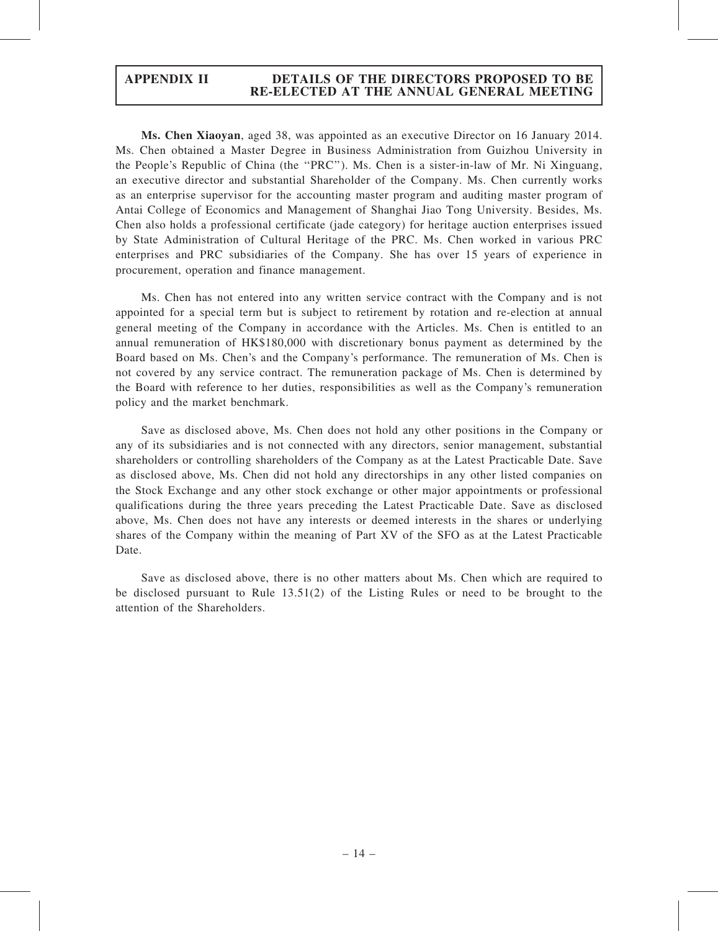Ms. Chen Xiaoyan, aged 38, was appointed as an executive Director on 16 January 2014. Ms. Chen obtained a Master Degree in Business Administration from Guizhou University in the People's Republic of China (the ''PRC''). Ms. Chen is a sister-in-law of Mr. Ni Xinguang, an executive director and substantial Shareholder of the Company. Ms. Chen currently works as an enterprise supervisor for the accounting master program and auditing master program of Antai College of Economics and Management of Shanghai Jiao Tong University. Besides, Ms. Chen also holds a professional certificate (jade category) for heritage auction enterprises issued by State Administration of Cultural Heritage of the PRC. Ms. Chen worked in various PRC enterprises and PRC subsidiaries of the Company. She has over 15 years of experience in procurement, operation and finance management.

Ms. Chen has not entered into any written service contract with the Company and is not appointed for a special term but is subject to retirement by rotation and re-election at annual general meeting of the Company in accordance with the Articles. Ms. Chen is entitled to an annual remuneration of HK\$180,000 with discretionary bonus payment as determined by the Board based on Ms. Chen's and the Company's performance. The remuneration of Ms. Chen is not covered by any service contract. The remuneration package of Ms. Chen is determined by the Board with reference to her duties, responsibilities as well as the Company's remuneration policy and the market benchmark.

Save as disclosed above, Ms. Chen does not hold any other positions in the Company or any of its subsidiaries and is not connected with any directors, senior management, substantial shareholders or controlling shareholders of the Company as at the Latest Practicable Date. Save as disclosed above, Ms. Chen did not hold any directorships in any other listed companies on the Stock Exchange and any other stock exchange or other major appointments or professional qualifications during the three years preceding the Latest Practicable Date. Save as disclosed above, Ms. Chen does not have any interests or deemed interests in the shares or underlying shares of the Company within the meaning of Part XV of the SFO as at the Latest Practicable Date.

Save as disclosed above, there is no other matters about Ms. Chen which are required to be disclosed pursuant to Rule 13.51(2) of the Listing Rules or need to be brought to the attention of the Shareholders.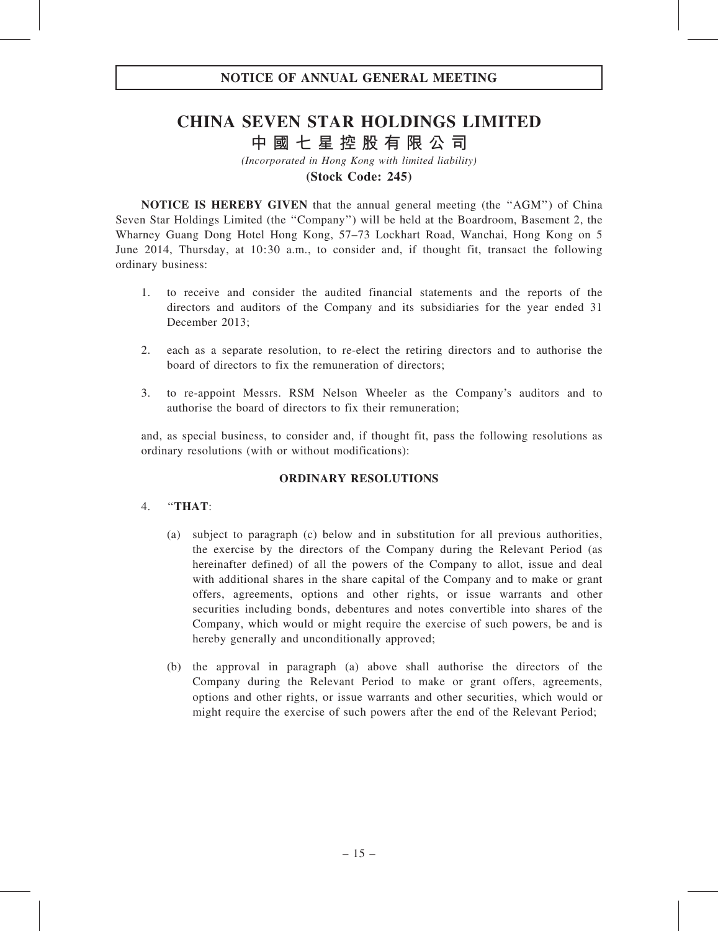# CHINA SEVEN STAR HOLDINGS LIMITED 中 國 七 星 控 股 有 限 公 司

(Incorporated in Hong Kong with limited liability)

(Stock Code: 245)

NOTICE IS HEREBY GIVEN that the annual general meeting (the ''AGM'') of China Seven Star Holdings Limited (the ''Company'') will be held at the Boardroom, Basement 2, the Wharney Guang Dong Hotel Hong Kong, 57–73 Lockhart Road, Wanchai, Hong Kong on 5 June 2014, Thursday, at 10:30 a.m., to consider and, if thought fit, transact the following ordinary business:

- 1. to receive and consider the audited financial statements and the reports of the directors and auditors of the Company and its subsidiaries for the year ended 31 December 2013;
- 2. each as a separate resolution, to re-elect the retiring directors and to authorise the board of directors to fix the remuneration of directors;
- 3. to re-appoint Messrs. RSM Nelson Wheeler as the Company's auditors and to authorise the board of directors to fix their remuneration;

and, as special business, to consider and, if thought fit, pass the following resolutions as ordinary resolutions (with or without modifications):

## ORDINARY RESOLUTIONS

#### 4. ''THAT:

- (a) subject to paragraph (c) below and in substitution for all previous authorities, the exercise by the directors of the Company during the Relevant Period (as hereinafter defined) of all the powers of the Company to allot, issue and deal with additional shares in the share capital of the Company and to make or grant offers, agreements, options and other rights, or issue warrants and other securities including bonds, debentures and notes convertible into shares of the Company, which would or might require the exercise of such powers, be and is hereby generally and unconditionally approved;
- (b) the approval in paragraph (a) above shall authorise the directors of the Company during the Relevant Period to make or grant offers, agreements, options and other rights, or issue warrants and other securities, which would or might require the exercise of such powers after the end of the Relevant Period;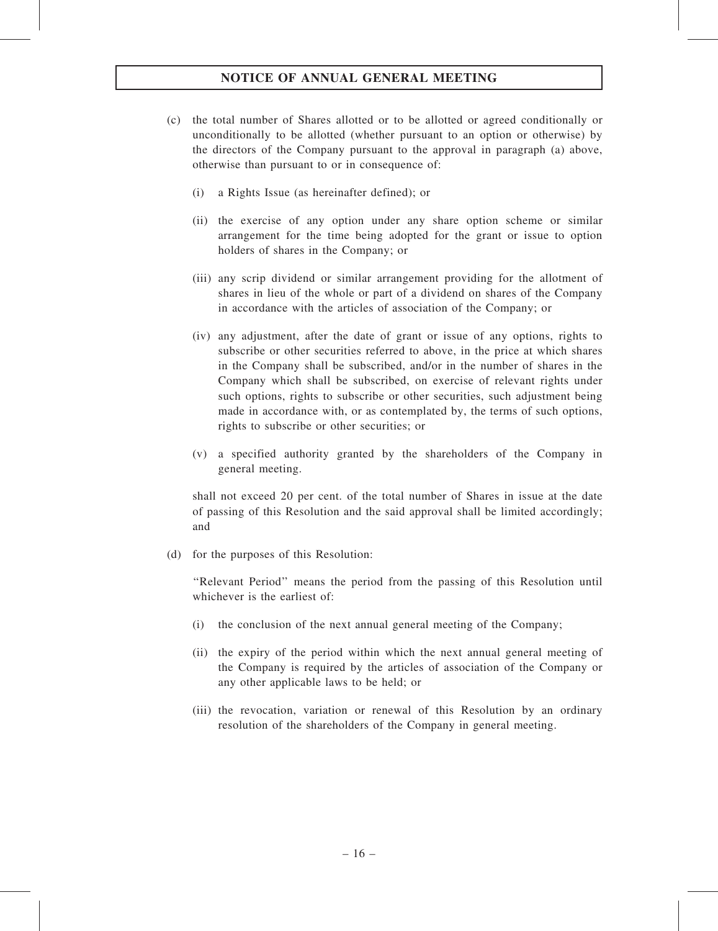## NOTICE OF ANNUAL GENERAL MEETING

- (c) the total number of Shares allotted or to be allotted or agreed conditionally or unconditionally to be allotted (whether pursuant to an option or otherwise) by the directors of the Company pursuant to the approval in paragraph (a) above, otherwise than pursuant to or in consequence of:
	- (i) a Rights Issue (as hereinafter defined); or
	- (ii) the exercise of any option under any share option scheme or similar arrangement for the time being adopted for the grant or issue to option holders of shares in the Company; or
	- (iii) any scrip dividend or similar arrangement providing for the allotment of shares in lieu of the whole or part of a dividend on shares of the Company in accordance with the articles of association of the Company; or
	- (iv) any adjustment, after the date of grant or issue of any options, rights to subscribe or other securities referred to above, in the price at which shares in the Company shall be subscribed, and/or in the number of shares in the Company which shall be subscribed, on exercise of relevant rights under such options, rights to subscribe or other securities, such adjustment being made in accordance with, or as contemplated by, the terms of such options, rights to subscribe or other securities; or
	- (v) a specified authority granted by the shareholders of the Company in general meeting.

shall not exceed 20 per cent. of the total number of Shares in issue at the date of passing of this Resolution and the said approval shall be limited accordingly; and

(d) for the purposes of this Resolution:

''Relevant Period'' means the period from the passing of this Resolution until whichever is the earliest of:

- (i) the conclusion of the next annual general meeting of the Company;
- (ii) the expiry of the period within which the next annual general meeting of the Company is required by the articles of association of the Company or any other applicable laws to be held; or
- (iii) the revocation, variation or renewal of this Resolution by an ordinary resolution of the shareholders of the Company in general meeting.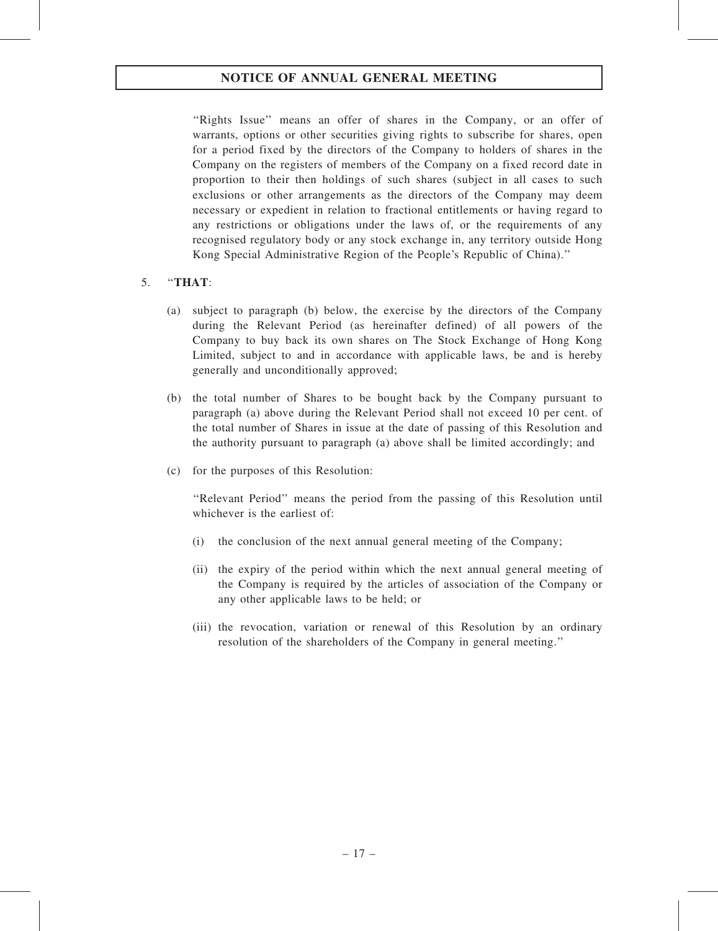# NOTICE OF ANNUAL GENERAL MEETING

''Rights Issue'' means an offer of shares in the Company, or an offer of warrants, options or other securities giving rights to subscribe for shares, open for a period fixed by the directors of the Company to holders of shares in the Company on the registers of members of the Company on a fixed record date in proportion to their then holdings of such shares (subject in all cases to such exclusions or other arrangements as the directors of the Company may deem necessary or expedient in relation to fractional entitlements or having regard to any restrictions or obligations under the laws of, or the requirements of any recognised regulatory body or any stock exchange in, any territory outside Hong Kong Special Administrative Region of the People's Republic of China).''

## 5. ''THAT:

- (a) subject to paragraph (b) below, the exercise by the directors of the Company during the Relevant Period (as hereinafter defined) of all powers of the Company to buy back its own shares on The Stock Exchange of Hong Kong Limited, subject to and in accordance with applicable laws, be and is hereby generally and unconditionally approved;
- (b) the total number of Shares to be bought back by the Company pursuant to paragraph (a) above during the Relevant Period shall not exceed 10 per cent. of the total number of Shares in issue at the date of passing of this Resolution and the authority pursuant to paragraph (a) above shall be limited accordingly; and
- (c) for the purposes of this Resolution:

''Relevant Period'' means the period from the passing of this Resolution until whichever is the earliest of:

- (i) the conclusion of the next annual general meeting of the Company;
- (ii) the expiry of the period within which the next annual general meeting of the Company is required by the articles of association of the Company or any other applicable laws to be held; or
- (iii) the revocation, variation or renewal of this Resolution by an ordinary resolution of the shareholders of the Company in general meeting.''